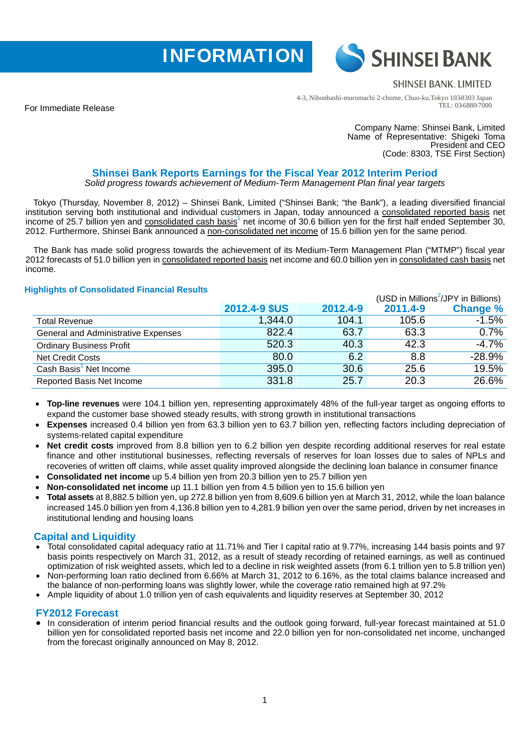



## **SHINSEI BANK, LIMITED**

4-3, Nihonbashi-muromachi 2-chome, Chuo-ku,Tokyo 103-8303 Japan TEL: 03-6880-7000

For Immediate Release

Company Name: Shinsei Bank, Limited Name of Representative: Shigeki Toma President and CEO (Code: 8303, TSE First Section)

# **Shinsei Bank Reports Earnings for the Fiscal Year 2012 Interim Period**

*Solid progress towards achievement of Medium-Term Management Plan final year targets* 

Tokyo (Thursday, November 8, 2012) – Shinsei Bank, Limited ("Shinsei Bank; "the Bank"), a leading diversified financial institution serving both institutional and individual customers in Japan, today announced a consolidated reported basis net income of 25.7 billion yen and consolidated cash basis<sup>1</sup> net income of 30.6 billion yen for the first half ended September 30, 2012. Furthermore, Shinsei Bank announced a non-consolidated net income of 15.6 billion yen for the same period.

The Bank has made solid progress towards the achievement of its Medium-Term Management Plan ("MTMP") fiscal year 2012 forecasts of 51.0 billion yen in consolidated reported basis net income and 60.0 billion yen in consolidated cash basis net income.

### **Highlights of Consolidated Financial Results**

| <b>Expressed to the concentration</b> in intervalse recognition |               |          |          | (USD in Millions <sup>2</sup> /JPY in Billions) |
|-----------------------------------------------------------------|---------------|----------|----------|-------------------------------------------------|
|                                                                 | 2012.4-9 \$US | 2012.4-9 | 2011.4-9 | <b>Change %</b>                                 |
| <b>Total Revenue</b>                                            | 1,344.0       | 104.1    | 105.6    | $-1.5%$                                         |
| General and Administrative Expenses                             | 822.4         | 63.7     | 63.3     | 0.7%                                            |
| <b>Ordinary Business Profit</b>                                 | 520.3         | 40.3     | 42.3     | $-4.7%$                                         |
| <b>Net Credit Costs</b>                                         | 80.0          | 6.2      | 8.8      | $-28.9%$                                        |
| Cash Basis <sup>1</sup> Net Income                              | 395.0         | 30.6     | 25.6     | 19.5%                                           |
| Reported Basis Net Income                                       | 331.8         | 25.7     | 20.3     | 26.6%                                           |

- **Top-line revenues** were 104.1 billion yen, representing approximately 48% of the full-year target as ongoing efforts to expand the customer base showed steady results, with strong growth in institutional transactions
- **Expenses** increased 0.4 billion yen from 63.3 billion yen to 63.7 billion yen, reflecting factors including depreciation of systems-related capital expenditure
- **Net credit costs** improved from 8.8 billion yen to 6.2 billion yen despite recording additional reserves for real estate finance and other institutional businesses, reflecting reversals of reserves for loan losses due to sales of NPLs and recoveries of written off claims, while asset quality improved alongside the declining loan balance in consumer finance
- **Consolidated net income** up 5.4 billion yen from 20.3 billion yen to 25.7 billion yen
- **Non-consolidated net income** up 11.1 billion yen from 4.5 billion yen to 15.6 billion yen
- **Total assets** at 8,882.5 billion yen, up 272.8 billion yen from 8,609.6 billion yen at March 31, 2012, while the loan balance increased 145.0 billion yen from 4,136.8 billion yen to 4,281.9 billion yen over the same period, driven by net increases in institutional lending and housing loans

## **Capital and Liquidity**

- Total consolidated capital adequacy ratio at 11.71% and Tier I capital ratio at 9.77%, increasing 144 basis points and 97 basis points respectively on March 31, 2012, as a result of steady recording of retained earnings, as well as continued optimization of risk weighted assets, which led to a decline in risk weighted assets (from 6.1 trillion yen to 5.8 trillion yen)
- Non-performing loan ratio declined from 6.66% at March 31, 2012 to 6.16%, as the total claims balance increased and the balance of non-performing loans was slightly lower, while the coverage ratio remained high at 97.2%
- Ample liquidity of about 1.0 trillion yen of cash equivalents and liquidity reserves at September 30, 2012

### **FY2012 Forecast**

• In consideration of interim period financial results and the outlook going forward, full-year forecast maintained at 51.0 billion yen for consolidated reported basis net income and 22.0 billion yen for non-consolidated net income, unchanged from the forecast originally announced on May 8, 2012.